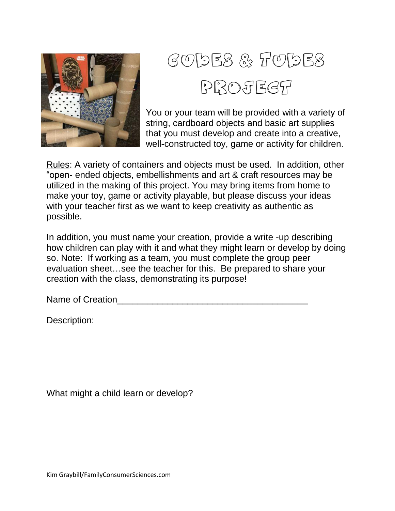

## Cubes & Tubes PROJECT

You or your team will be provided with a variety of string, cardboard objects and basic art supplies that you must develop and create into a creative, well-constructed toy, game or activity for children.

Rules: A variety of containers and objects must be used. In addition, other "open- ended objects, embellishments and art & craft resources may be utilized in the making of this project. You may bring items from home to make your toy, game or activity playable, but please discuss your ideas with your teacher first as we want to keep creativity as authentic as possible.

In addition, you must name your creation, provide a write -up describing how children can play with it and what they might learn or develop by doing so. Note: If working as a team, you must complete the group peer evaluation sheet…see the teacher for this. Be prepared to share your creation with the class, demonstrating its purpose!

Name of Creation

Description:

What might a child learn or develop?